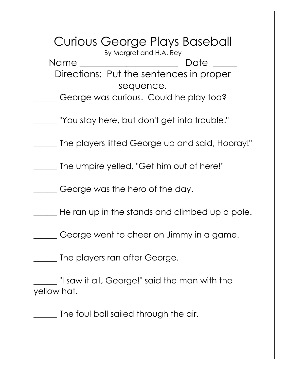Curious George Plays Baseball By Margret and H.A. Rey Name \_\_\_\_\_\_\_\_\_\_\_\_\_\_\_\_\_\_\_\_\_ Date \_\_\_\_\_ Directions: Put the sentences in proper sequence. \_\_\_\_\_ George was curious. Could he play too? \_\_\_\_\_ "You stay here, but don't get into trouble." The players lifted George up and said, Hooray!" \_\_\_\_\_ The umpire yelled, "Get him out of here!" \_\_\_\_\_ George was the hero of the day. \_\_\_\_\_ He ran up in the stands and climbed up a pole. \_\_\_\_\_ George went to cheer on Jimmy in a game. \_\_\_\_\_ The players ran after George. \_\_\_\_\_ "I saw it all, George!" said the man with the yellow hat. \_\_\_\_\_ The foul ball sailed through the air.